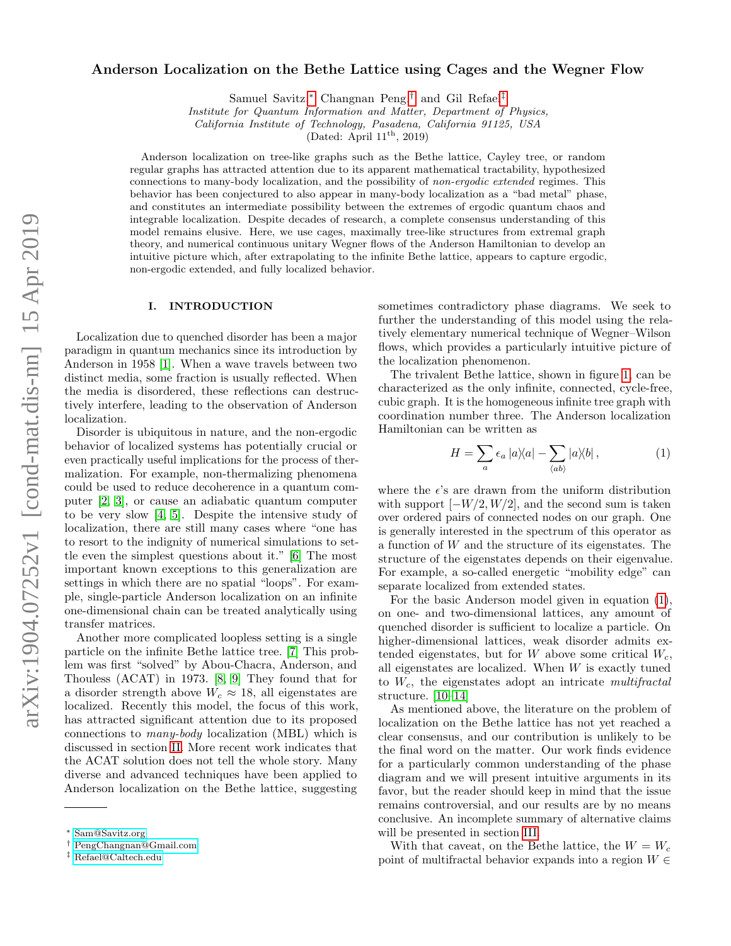# Anderson Localization on the Bethe Lattice using Cages and the Wegner Flow

Samuel Savitz,[∗](#page-0-0) Changnan Peng,[†](#page-0-1) and Gil Refael[‡](#page-0-2)

Institute for Quantum Information and Matter, Department of Physics,

California Institute of Technology, Pasadena, California 91125, USA

(Dated: April  $11<sup>th</sup>$ , 2019)

Anderson localization on tree-like graphs such as the Bethe lattice, Cayley tree, or random regular graphs has attracted attention due to its apparent mathematical tractability, hypothesized connections to many-body localization, and the possibility of non-ergodic extended regimes. This behavior has been conjectured to also appear in many-body localization as a "bad metal" phase, and constitutes an intermediate possibility between the extremes of ergodic quantum chaos and integrable localization. Despite decades of research, a complete consensus understanding of this model remains elusive. Here, we use cages, maximally tree-like structures from extremal graph theory, and numerical continuous unitary Wegner flows of the Anderson Hamiltonian to develop an intuitive picture which, after extrapolating to the infinite Bethe lattice, appears to capture ergodic, non-ergodic extended, and fully localized behavior.

### I. INTRODUCTION

Localization due to quenched disorder has been a major paradigm in quantum mechanics since its introduction by Anderson in 1958 [\[1\]](#page-8-0). When a wave travels between two distinct media, some fraction is usually reflected. When the media is disordered, these reflections can destructively interfere, leading to the observation of Anderson localization.

Disorder is ubiquitous in nature, and the non-ergodic behavior of localized systems has potentially crucial or even practically useful implications for the process of thermalization. For example, non-thermalizing phenomena could be used to reduce decoherence in a quantum computer [\[2,](#page-8-1) [3\]](#page-8-2), or cause an adiabatic quantum computer to be very slow [\[4,](#page-8-3) [5\]](#page-8-4). Despite the intensive study of localization, there are still many cases where "one has to resort to the indignity of numerical simulations to settle even the simplest questions about it." [\[6\]](#page-8-5) The most important known exceptions to this generalization are settings in which there are no spatial "loops". For example, single-particle Anderson localization on an infinite one-dimensional chain can be treated analytically using transfer matrices.

Another more complicated loopless setting is a single particle on the infinite Bethe lattice tree. [\[7\]](#page-8-6) This problem was first "solved" by Abou-Chacra, Anderson, and Thouless (ACAT) in 1973. [\[8,](#page-8-7) [9\]](#page-8-8) They found that for a disorder strength above  $W_c \approx 18$ , all eigenstates are localized. Recently this model, the focus of this work, has attracted significant attention due to its proposed connections to many-body localization (MBL) which is discussed in section [II.](#page-1-0) More recent work indicates that the ACAT solution does not tell the whole story. Many diverse and advanced techniques have been applied to Anderson localization on the Bethe lattice, suggesting

sometimes contradictory phase diagrams. We seek to further the understanding of this model using the relatively elementary numerical technique of Wegner–Wilson flows, which provides a particularly intuitive picture of the localization phenomenon.

The trivalent Bethe lattice, shown in figure [1,](#page-1-1) can be characterized as the only infinite, connected, cycle-free, cubic graph. It is the homogeneous infinite tree graph with coordination number three. The Anderson localization Hamiltonian can be written as

<span id="page-0-3"></span>
$$
H = \sum_{a} \epsilon_a \left| a \rangle \langle a \right| - \sum_{\langle ab \rangle} \left| a \rangle \langle b \right|, \tag{1}
$$

where the  $\epsilon$ 's are drawn from the uniform distribution with support  $[-W/2, W/2]$ , and the second sum is taken over ordered pairs of connected nodes on our graph. One is generally interested in the spectrum of this operator as a function of W and the structure of its eigenstates. The structure of the eigenstates depends on their eigenvalue. For example, a so-called energetic "mobility edge" can separate localized from extended states.

For the basic Anderson model given in equation [\(1\)](#page-0-3), on one- and two-dimensional lattices, any amount of quenched disorder is sufficient to localize a particle. On higher-dimensional lattices, weak disorder admits extended eigenstates, but for W above some critical  $W_c$ , all eigenstates are localized. When  $W$  is exactly tuned to  $W_c$ , the eigenstates adopt an intricate multifractal structure. [\[10](#page-8-9)[–14\]](#page-8-10)

As mentioned above, the literature on the problem of localization on the Bethe lattice has not yet reached a clear consensus, and our contribution is unlikely to be the final word on the matter. Our work finds evidence for a particularly common understanding of the phase diagram and we will present intuitive arguments in its favor, but the reader should keep in mind that the issue remains controversial, and our results are by no means conclusive. An incomplete summary of alternative claims will be presented in section [III.](#page-2-0)

With that caveat, on the Bethe lattice, the  $W = W_c$ point of multifractal behavior expands into a region  $W \in$ 

<span id="page-0-0"></span><sup>∗</sup> [Sam@Savitz.org](mailto:Sam@Savitz.org)

<span id="page-0-1"></span><sup>†</sup> [PengChangnan@Gmail.com](mailto:PengChangnan@Gmail.com)

<span id="page-0-2"></span><sup>‡</sup> [Refael@Caltech.edu](mailto:Refael@Caltech.edu)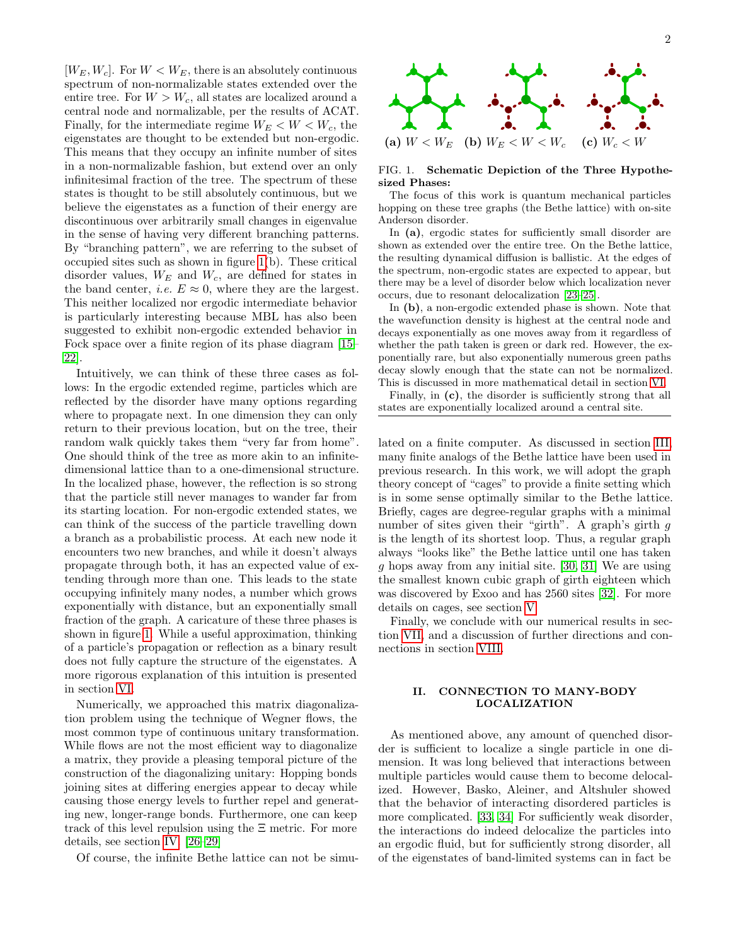$[W_E, W_c]$ . For  $W < W_E$ , there is an absolutely continuous spectrum of non-normalizable states extended over the entire tree. For  $W > W_c$ , all states are localized around a central node and normalizable, per the results of ACAT. Finally, for the intermediate regime  $W_E < W < W_c$ , the eigenstates are thought to be extended but non-ergodic. This means that they occupy an infinite number of sites in a non-normalizable fashion, but extend over an only infinitesimal fraction of the tree. The spectrum of these states is thought to be still absolutely continuous, but we believe the eigenstates as a function of their energy are discontinuous over arbitrarily small changes in eigenvalue in the sense of having very different branching patterns. By "branching pattern", we are referring to the subset of occupied sites such as shown in figure [1\(](#page-1-1)b). These critical disorder values,  $W_E$  and  $W_c$ , are defined for states in the band center, *i.e.*  $E \approx 0$ , where they are the largest. This neither localized nor ergodic intermediate behavior is particularly interesting because MBL has also been suggested to exhibit non-ergodic extended behavior in Fock space over a finite region of its phase diagram [\[15–](#page-8-11) [22\]](#page-8-12).

Intuitively, we can think of these three cases as follows: In the ergodic extended regime, particles which are reflected by the disorder have many options regarding where to propagate next. In one dimension they can only return to their previous location, but on the tree, their random walk quickly takes them "very far from home". One should think of the tree as more akin to an infinitedimensional lattice than to a one-dimensional structure. In the localized phase, however, the reflection is so strong that the particle still never manages to wander far from its starting location. For non-ergodic extended states, we can think of the success of the particle travelling down a branch as a probabilistic process. At each new node it encounters two new branches, and while it doesn't always propagate through both, it has an expected value of extending through more than one. This leads to the state occupying infinitely many nodes, a number which grows exponentially with distance, but an exponentially small fraction of the graph. A caricature of these three phases is shown in figure [1.](#page-1-1) While a useful approximation, thinking of a particle's propagation or reflection as a binary result does not fully capture the structure of the eigenstates. A more rigorous explanation of this intuition is presented in section [VI.](#page-4-0)

Numerically, we approached this matrix diagonalization problem using the technique of Wegner flows, the most common type of continuous unitary transformation. While flows are not the most efficient way to diagonalize a matrix, they provide a pleasing temporal picture of the construction of the diagonalizing unitary: Hopping bonds joining sites at differing energies appear to decay while causing those energy levels to further repel and generating new, longer-range bonds. Furthermore, one can keep track of this level repulsion using the Ξ metric. For more details, see section [IV.](#page-3-0) [\[26–](#page-8-13)[29\]](#page-8-14)

Of course, the infinite Bethe lattice can not be simu-



## <span id="page-1-1"></span>FIG. 1. Schematic Depiction of the Three Hypothesized Phases:

The focus of this work is quantum mechanical particles hopping on these tree graphs (the Bethe lattice) with on-site Anderson disorder.

In (a), ergodic states for sufficiently small disorder are shown as extended over the entire tree. On the Bethe lattice, the resulting dynamical diffusion is ballistic. At the edges of the spectrum, non-ergodic states are expected to appear, but there may be a level of disorder below which localization never occurs, due to resonant delocalization [\[23–](#page-8-15)[25\]](#page-8-16).

In (b), a non-ergodic extended phase is shown. Note that the wavefunction density is highest at the central node and decays exponentially as one moves away from it regardless of whether the path taken is green or dark red. However, the exponentially rare, but also exponentially numerous green paths decay slowly enough that the state can not be normalized. This is discussed in more mathematical detail in section [VI.](#page-4-0)

Finally, in (c), the disorder is sufficiently strong that all states are exponentially localized around a central site.

lated on a finite computer. As discussed in section [III,](#page-2-0) many finite analogs of the Bethe lattice have been used in previous research. In this work, we will adopt the graph theory concept of "cages" to provide a finite setting which is in some sense optimally similar to the Bethe lattice. Briefly, cages are degree-regular graphs with a minimal number of sites given their "girth". A graph's girth g is the length of its shortest loop. Thus, a regular graph always "looks like" the Bethe lattice until one has taken g hops away from any initial site. [\[30,](#page-8-17) [31\]](#page-8-18) We are using the smallest known cubic graph of girth eighteen which was discovered by Exoo and has 2560 sites [\[32\]](#page-8-19). For more details on cages, see section [V.](#page-4-1)

Finally, we conclude with our numerical results in section [VII,](#page-6-0) and a discussion of further directions and connections in section [VIII.](#page-7-0)

## <span id="page-1-0"></span>II. CONNECTION TO MANY-BODY LOCALIZATION

As mentioned above, any amount of quenched disorder is sufficient to localize a single particle in one dimension. It was long believed that interactions between multiple particles would cause them to become delocalized. However, Basko, Aleiner, and Altshuler showed that the behavior of interacting disordered particles is more complicated. [\[33,](#page-8-20) [34\]](#page-8-21) For sufficiently weak disorder, the interactions do indeed delocalize the particles into an ergodic fluid, but for sufficiently strong disorder, all of the eigenstates of band-limited systems can in fact be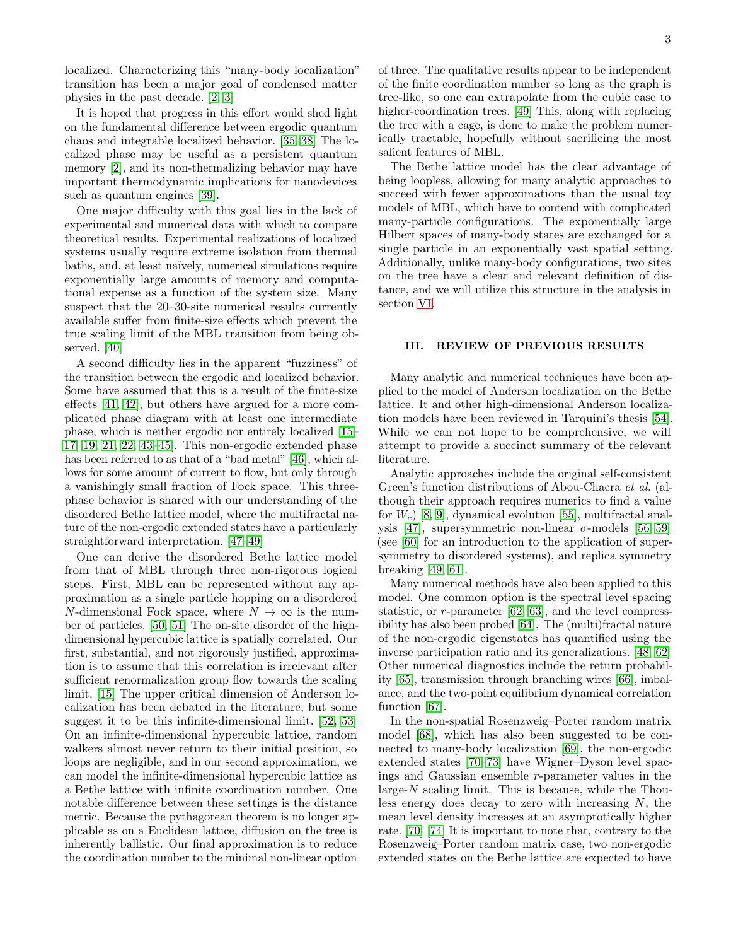localized. Characterizing this "many-body localization" transition has been a major goal of condensed matter physics in the past decade. [\[2,](#page-8-1) [3\]](#page-8-2)

It is hoped that progress in this effort would shed light on the fundamental difference between ergodic quantum chaos and integrable localized behavior. [\[35](#page-8-22)[–38\]](#page-8-23) The localized phase may be useful as a persistent quantum memory [\[2\]](#page-8-1), and its non-thermalizing behavior may have important thermodynamic implications for nanodevices such as quantum engines [\[39\]](#page-8-24).

One major difficulty with this goal lies in the lack of experimental and numerical data with which to compare theoretical results. Experimental realizations of localized systems usually require extreme isolation from thermal baths, and, at least naïvely, numerical simulations require exponentially large amounts of memory and computational expense as a function of the system size. Many suspect that the 20–30-site numerical results currently available suffer from finite-size effects which prevent the true scaling limit of the MBL transition from being observed. [\[40\]](#page-8-25)

A second difficulty lies in the apparent "fuzziness" of the transition between the ergodic and localized behavior. Some have assumed that this is a result of the finite-size effects [\[41,](#page-8-26) [42\]](#page-8-27), but others have argued for a more complicated phase diagram with at least one intermediate phase, which is neither ergodic nor entirely localized [\[15–](#page-8-11) [17,](#page-8-28) [19,](#page-8-29) [21,](#page-8-30) [22,](#page-8-12) [43–](#page-9-0)[45\]](#page-9-1). This non-ergodic extended phase has been referred to as that of a "bad metal" [\[46\]](#page-9-2), which allows for some amount of current to flow, but only through a vanishingly small fraction of Fock space. This threephase behavior is shared with our understanding of the disordered Bethe lattice model, where the multifractal nature of the non-ergodic extended states have a particularly straightforward interpretation. [\[47–](#page-9-3)[49\]](#page-9-4)

One can derive the disordered Bethe lattice model from that of MBL through three non-rigorous logical steps. First, MBL can be represented without any approximation as a single particle hopping on a disordered N-dimensional Fock space, where  $N \to \infty$  is the number of particles. [\[50,](#page-9-5) [51\]](#page-9-6) The on-site disorder of the highdimensional hypercubic lattice is spatially correlated. Our first, substantial, and not rigorously justified, approximation is to assume that this correlation is irrelevant after sufficient renormalization group flow towards the scaling limit. [\[15\]](#page-8-11) The upper critical dimension of Anderson localization has been debated in the literature, but some suggest it to be this infinite-dimensional limit. [\[52,](#page-9-7) [53\]](#page-9-8) On an infinite-dimensional hypercubic lattice, random walkers almost never return to their initial position, so loops are negligible, and in our second approximation, we can model the infinite-dimensional hypercubic lattice as a Bethe lattice with infinite coordination number. One notable difference between these settings is the distance metric. Because the pythagorean theorem is no longer applicable as on a Euclidean lattice, diffusion on the tree is inherently ballistic. Our final approximation is to reduce the coordination number to the minimal non-linear option

of three. The qualitative results appear to be independent of the finite coordination number so long as the graph is tree-like, so one can extrapolate from the cubic case to higher-coordination trees. [\[49\]](#page-9-4) This, along with replacing the tree with a cage, is done to make the problem numerically tractable, hopefully without sacrificing the most salient features of MBL.

The Bethe lattice model has the clear advantage of being loopless, allowing for many analytic approaches to succeed with fewer approximations than the usual toy models of MBL, which have to contend with complicated many-particle configurations. The exponentially large Hilbert spaces of many-body states are exchanged for a single particle in an exponentially vast spatial setting. Additionally, unlike many-body configurations, two sites on the tree have a clear and relevant definition of distance, and we will utilize this structure in the analysis in section [VI.](#page-4-0)

## <span id="page-2-0"></span>III. REVIEW OF PREVIOUS RESULTS

Many analytic and numerical techniques have been applied to the model of Anderson localization on the Bethe lattice. It and other high-dimensional Anderson localization models have been reviewed in Tarquini's thesis [\[54\]](#page-9-9). While we can not hope to be comprehensive, we will attempt to provide a succinct summary of the relevant literature.

Analytic approaches include the original self-consistent Green's function distributions of Abou-Chacra et al. (although their approach requires numerics to find a value for  $W_c$  [\[8,](#page-8-7) [9\]](#page-8-8), dynamical evolution [\[55\]](#page-9-10), multifractal anal-ysis [\[47\]](#page-9-3), supersymmetric non-linear σ-models [\[56](#page-9-11)[–59\]](#page-9-12) (see [\[60\]](#page-9-13) for an introduction to the application of supersymmetry to disordered systems), and replica symmetry breaking [\[49,](#page-9-4) [61\]](#page-9-14).

Many numerical methods have also been applied to this model. One common option is the spectral level spacing statistic, or r-parameter [\[62,](#page-9-15) [63\]](#page-9-16), and the level compressibility has also been probed [\[64\]](#page-9-17). The (multi)fractal nature of the non-ergodic eigenstates has quantified using the inverse participation ratio and its generalizations. [\[48,](#page-9-18) [62\]](#page-9-15) Other numerical diagnostics include the return probability [\[65\]](#page-9-19), transmission through branching wires [\[66\]](#page-9-20), imbalance, and the two-point equilibrium dynamical correlation function [\[67\]](#page-9-21).

In the non-spatial Rosenzweig–Porter random matrix model [\[68\]](#page-9-22), which has also been suggested to be connected to many-body localization [\[69\]](#page-9-23), the non-ergodic extended states [\[70–](#page-9-24)[73\]](#page-9-25) have Wigner–Dyson level spacings and Gaussian ensemble r-parameter values in the large- $N$  scaling limit. This is because, while the Thouless energy does decay to zero with increasing  $N$ , the mean level density increases at an asymptotically higher rate. [\[70\]](#page-9-24) [\[74\]](#page-9-26) It is important to note that, contrary to the Rosenzweig–Porter random matrix case, two non-ergodic extended states on the Bethe lattice are expected to have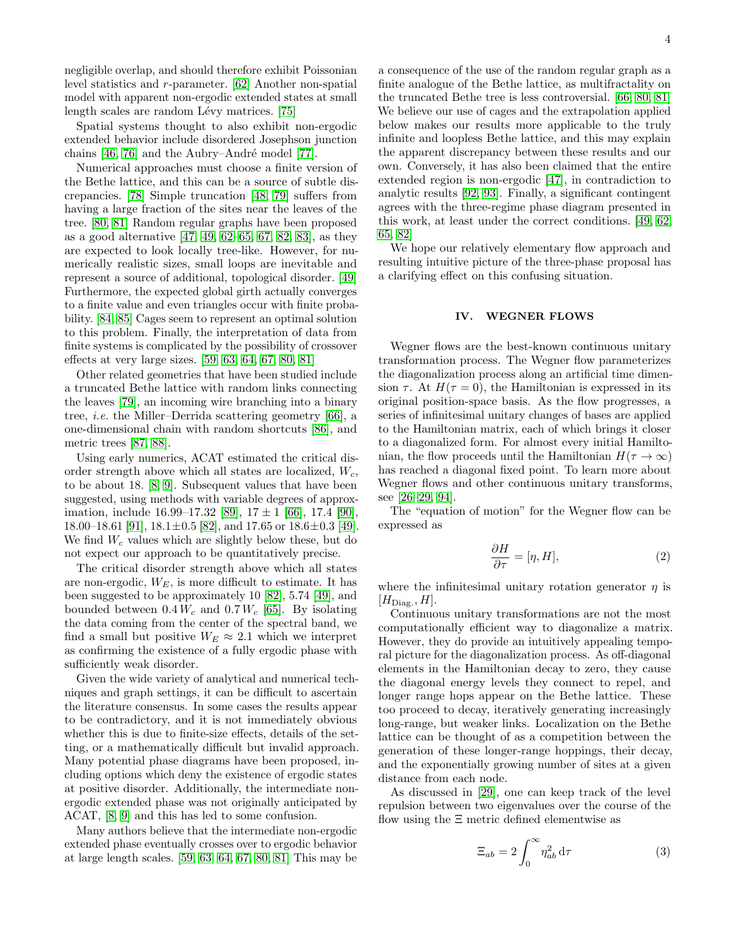negligible overlap, and should therefore exhibit Poissonian level statistics and r-parameter. [\[62\]](#page-9-15) Another non-spatial model with apparent non-ergodic extended states at small length scales are random Lévy matrices. [\[75\]](#page-9-27)

Spatial systems thought to also exhibit non-ergodic extended behavior include disordered Josephson junction chains  $[46, 76]$  $[46, 76]$  and the Aubry–André model  $[77]$ .

Numerical approaches must choose a finite version of the Bethe lattice, and this can be a source of subtle discrepancies. [\[78\]](#page-9-30) Simple truncation [\[48,](#page-9-18) [79\]](#page-9-31) suffers from having a large fraction of the sites near the leaves of the tree. [\[80,](#page-9-32) [81\]](#page-9-33) Random regular graphs have been proposed as a good alternative [\[47,](#page-9-3) [49,](#page-9-4) [62](#page-9-15)[–65,](#page-9-19) [67,](#page-9-21) [82,](#page-9-34) [83\]](#page-9-35), as they are expected to look locally tree-like. However, for numerically realistic sizes, small loops are inevitable and represent a source of additional, topological disorder. [\[49\]](#page-9-4) Furthermore, the expected global girth actually converges to a finite value and even triangles occur with finite probability. [\[84,](#page-9-36) [85\]](#page-9-37) Cages seem to represent an optimal solution to this problem. Finally, the interpretation of data from finite systems is complicated by the possibility of crossover effects at very large sizes. [\[59,](#page-9-12) [63,](#page-9-16) [64,](#page-9-17) [67,](#page-9-21) [80,](#page-9-32) [81\]](#page-9-33)

Other related geometries that have been studied include a truncated Bethe lattice with random links connecting the leaves [\[79\]](#page-9-31), an incoming wire branching into a binary tree, i.e. the Miller–Derrida scattering geometry [\[66\]](#page-9-20), a one-dimensional chain with random shortcuts [\[86\]](#page-9-38), and metric trees [\[87,](#page-9-39) [88\]](#page-9-40).

Using early numerics, ACAT estimated the critical disorder strength above which all states are localized,  $W_c$ , to be about 18. [\[8,](#page-8-7) [9\]](#page-8-8). Subsequent values that have been suggested, using methods with variable degrees of approximation, include  $16.99-17.32$  [\[89\]](#page-9-41),  $17 \pm 1$  [\[66\]](#page-9-20), 17.4 [\[90\]](#page-9-42), 18.00–18.61 [\[91\]](#page-9-43),  $18.1 \pm 0.5$  [\[82\]](#page-9-34), and 17.65 or  $18.6 \pm 0.3$  [\[49\]](#page-9-4). We find  $W_c$  values which are slightly below these, but do not expect our approach to be quantitatively precise.

The critical disorder strength above which all states are non-ergodic,  $W_E$ , is more difficult to estimate. It has been suggested to be approximately 10 [\[82\]](#page-9-34), 5.74 [\[49\]](#page-9-4), and bounded between  $0.4 W_c$  and  $0.7 W_c$  [\[65\]](#page-9-19). By isolating the data coming from the center of the spectral band, we find a small but positive  $W_E \approx 2.1$  which we interpret as confirming the existence of a fully ergodic phase with sufficiently weak disorder.

Given the wide variety of analytical and numerical techniques and graph settings, it can be difficult to ascertain the literature consensus. In some cases the results appear to be contradictory, and it is not immediately obvious whether this is due to finite-size effects, details of the setting, or a mathematically difficult but invalid approach. Many potential phase diagrams have been proposed, including options which deny the existence of ergodic states at positive disorder. Additionally, the intermediate nonergodic extended phase was not originally anticipated by ACAT, [\[8,](#page-8-7) [9\]](#page-8-8) and this has led to some confusion.

Many authors believe that the intermediate non-ergodic extended phase eventually crosses over to ergodic behavior at large length scales. [\[59,](#page-9-12) [63,](#page-9-16) [64,](#page-9-17) [67,](#page-9-21) [80,](#page-9-32) [81\]](#page-9-33) This may be

a consequence of the use of the random regular graph as a finite analogue of the Bethe lattice, as multifractality on the truncated Bethe tree is less controversial. [\[66,](#page-9-20) [80,](#page-9-32) [81\]](#page-9-33) We believe our use of cages and the extrapolation applied below makes our results more applicable to the truly infinite and loopless Bethe lattice, and this may explain the apparent discrepancy between these results and our own. Conversely, it has also been claimed that the entire extended region is non-ergodic [\[47\]](#page-9-3), in contradiction to analytic results [\[92,](#page-9-44) [93\]](#page-9-45). Finally, a significant contingent agrees with the three-regime phase diagram presented in this work, at least under the correct conditions. [\[49,](#page-9-4) [62,](#page-9-15) [65,](#page-9-19) [82\]](#page-9-34)

We hope our relatively elementary flow approach and resulting intuitive picture of the three-phase proposal has a clarifying effect on this confusing situation.

## <span id="page-3-0"></span>IV. WEGNER FLOWS

Wegner flows are the best-known continuous unitary transformation process. The Wegner flow parameterizes the diagonalization process along an artificial time dimension  $\tau$ . At  $H(\tau = 0)$ , the Hamiltonian is expressed in its original position-space basis. As the flow progresses, a series of infinitesimal unitary changes of bases are applied to the Hamiltonian matrix, each of which brings it closer to a diagonalized form. For almost every initial Hamiltonian, the flow proceeds until the Hamiltonian  $H(\tau \to \infty)$ has reached a diagonal fixed point. To learn more about Wegner flows and other continuous unitary transforms, see [\[26–](#page-8-13)[29,](#page-8-14) [94\]](#page-9-46).

The "equation of motion" for the Wegner flow can be expressed as

$$
\frac{\partial H}{\partial \tau} = [\eta, H],\tag{2}
$$

where the infinitesimal unitary rotation generator  $\eta$  is  $[H_{\text{Diag.}}, H].$ 

Continuous unitary transformations are not the most computationally efficient way to diagonalize a matrix. However, they do provide an intuitively appealing temporal picture for the diagonalization process. As off-diagonal elements in the Hamiltonian decay to zero, they cause the diagonal energy levels they connect to repel, and longer range hops appear on the Bethe lattice. These too proceed to decay, iteratively generating increasingly long-range, but weaker links. Localization on the Bethe lattice can be thought of as a competition between the generation of these longer-range hoppings, their decay, and the exponentially growing number of sites at a given distance from each node.

As discussed in [\[29\]](#page-8-14), one can keep track of the level repulsion between two eigenvalues over the course of the flow using the Ξ metric defined elementwise as

$$
\Xi_{ab} = 2 \int_0^\infty \eta_{ab}^2 \, \mathrm{d}\tau \tag{3}
$$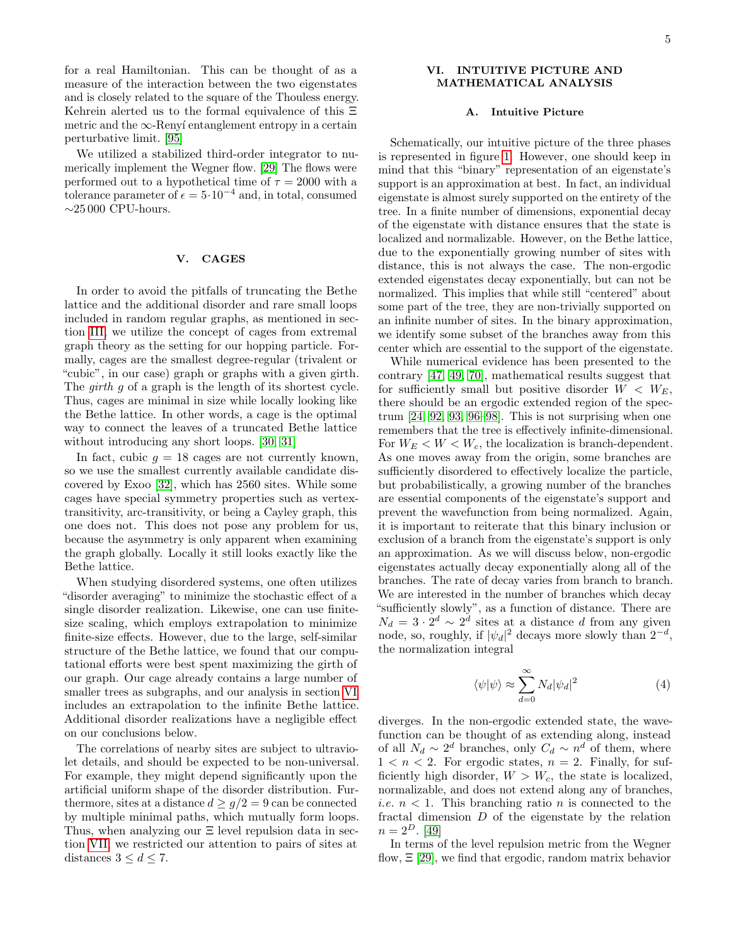for a real Hamiltonian. This can be thought of as a measure of the interaction between the two eigenstates and is closely related to the square of the Thouless energy. Kehrein alerted us to the formal equivalence of this Ξ metric and the  $\infty$ -Renyí entanglement entropy in a certain perturbative limit. [\[95\]](#page-9-47)

We utilized a stabilized third-order integrator to numerically implement the Wegner flow. [\[29\]](#page-8-14) The flows were performed out to a hypothetical time of  $\tau = 2000$  with a tolerance parameter of  $\epsilon = 5 \cdot 10^{-4}$  and, in total, consumed  $∼25\,000$  CPU-hours.

## <span id="page-4-1"></span>V. CAGES

In order to avoid the pitfalls of truncating the Bethe lattice and the additional disorder and rare small loops included in random regular graphs, as mentioned in section [III,](#page-2-0) we utilize the concept of cages from extremal graph theory as the setting for our hopping particle. Formally, cages are the smallest degree-regular (trivalent or "cubic", in our case) graph or graphs with a given girth. The *girth* g of a graph is the length of its shortest cycle. Thus, cages are minimal in size while locally looking like the Bethe lattice. In other words, a cage is the optimal way to connect the leaves of a truncated Bethe lattice without introducing any short loops. [\[30,](#page-8-17) [31\]](#page-8-18)

In fact, cubic  $q = 18$  cages are not currently known, so we use the smallest currently available candidate discovered by Exoo [\[32\]](#page-8-19), which has 2560 sites. While some cages have special symmetry properties such as vertextransitivity, arc-transitivity, or being a Cayley graph, this one does not. This does not pose any problem for us, because the asymmetry is only apparent when examining the graph globally. Locally it still looks exactly like the Bethe lattice.

When studying disordered systems, one often utilizes "disorder averaging" to minimize the stochastic effect of a single disorder realization. Likewise, one can use finitesize scaling, which employs extrapolation to minimize finite-size effects. However, due to the large, self-similar structure of the Bethe lattice, we found that our computational efforts were best spent maximizing the girth of our graph. Our cage already contains a large number of smaller trees as subgraphs, and our analysis in section [VI](#page-4-0) includes an extrapolation to the infinite Bethe lattice. Additional disorder realizations have a negligible effect on our conclusions below.

The correlations of nearby sites are subject to ultraviolet details, and should be expected to be non-universal. For example, they might depend significantly upon the artificial uniform shape of the disorder distribution. Furthermore, sites at a distance  $d > q/2 = 9$  can be connected by multiple minimal paths, which mutually form loops. Thus, when analyzing our Ξ level repulsion data in section [VII,](#page-6-0) we restricted our attention to pairs of sites at distances  $3 \leq d \leq 7$ .

## <span id="page-4-0"></span>VI. INTUITIVE PICTURE AND MATHEMATICAL ANALYSIS

#### A. Intuitive Picture

Schematically, our intuitive picture of the three phases is represented in figure [1.](#page-1-1) However, one should keep in mind that this "binary" representation of an eigenstate's support is an approximation at best. In fact, an individual eigenstate is almost surely supported on the entirety of the tree. In a finite number of dimensions, exponential decay of the eigenstate with distance ensures that the state is localized and normalizable. However, on the Bethe lattice, due to the exponentially growing number of sites with distance, this is not always the case. The non-ergodic extended eigenstates decay exponentially, but can not be normalized. This implies that while still "centered" about some part of the tree, they are non-trivially supported on an infinite number of sites. In the binary approximation, we identify some subset of the branches away from this center which are essential to the support of the eigenstate.

While numerical evidence has been presented to the contrary [\[47,](#page-9-3) [49,](#page-9-4) [70\]](#page-9-24), mathematical results suggest that for sufficiently small but positive disorder  $W < W_E$ , there should be an ergodic extended region of the spectrum [\[24,](#page-8-31) [92,](#page-9-44) [93,](#page-9-45) [96](#page-9-48)[–98\]](#page-9-49). This is not surprising when one remembers that the tree is effectively infinite-dimensional. For  $W_E < W < W_c$ , the localization is branch-dependent. As one moves away from the origin, some branches are sufficiently disordered to effectively localize the particle, but probabilistically, a growing number of the branches are essential components of the eigenstate's support and prevent the wavefunction from being normalized. Again, it is important to reiterate that this binary inclusion or exclusion of a branch from the eigenstate's support is only an approximation. As we will discuss below, non-ergodic eigenstates actually decay exponentially along all of the branches. The rate of decay varies from branch to branch. We are interested in the number of branches which decay "sufficiently slowly", as a function of distance. There are  $N_d = 3 \cdot 2^d \sim 2^d$  sites at a distance d from any given node, so, roughly, if  $|\psi_d|^2$  decays more slowly than  $2^{-d}$ , the normalization integral

$$
\langle \psi | \psi \rangle \approx \sum_{d=0}^{\infty} N_d |\psi_d|^2 \tag{4}
$$

diverges. In the non-ergodic extended state, the wavefunction can be thought of as extending along, instead of all  $N_d \sim 2^d$  branches, only  $C_d \sim n^d$  of them, where  $1 < n < 2$ . For ergodic states,  $n = 2$ . Finally, for sufficiently high disorder,  $W > W_c$ , the state is localized, normalizable, and does not extend along any of branches, *i.e.*  $n < 1$ . This branching ratio *n* is connected to the fractal dimension D of the eigenstate by the relation  $n = 2^D$ . [\[49\]](#page-9-4)

In terms of the level repulsion metric from the Wegner flow,  $\Xi$  [\[29\]](#page-8-14), we find that ergodic, random matrix behavior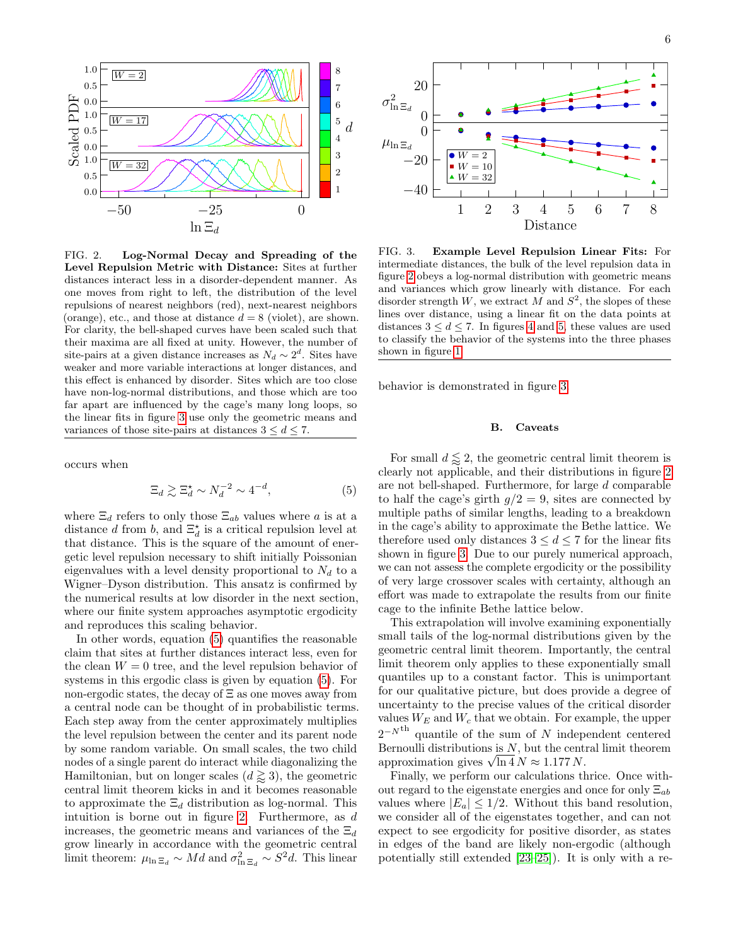

<span id="page-5-2"></span>FIG. 2. Log-Normal Decay and Spreading of the Level Repulsion Metric with Distance: Sites at further distances interact less in a disorder-dependent manner. As one moves from right to left, the distribution of the level repulsions of nearest neighbors (red), next-nearest neighbors (orange), etc., and those at distance  $d = 8$  (violet), are shown. For clarity, the bell-shaped curves have been scaled such that their maxima are all fixed at unity. However, the number of site-pairs at a given distance increases as  $N_d \sim 2^d$ . Sites have weaker and more variable interactions at longer distances, and this effect is enhanced by disorder. Sites which are too close have non-log-normal distributions, and those which are too far apart are influenced by the cage's many long loops, so the linear fits in figure [3](#page-5-0) use only the geometric means and variances of those site-pairs at distances  $3 \leq d \leq 7$ .

occurs when

<span id="page-5-1"></span>
$$
\Xi_d \gtrsim \Xi_d^{\star} \sim N_d^{-2} \sim 4^{-d},\tag{5}
$$

where  $\Xi_d$  refers to only those  $\Xi_{ab}$  values where a is at a distance d from b, and  $\Xi_d^{\star}$  is a critical repulsion level at that distance. This is the square of the amount of energetic level repulsion necessary to shift initially Poissonian eigenvalues with a level density proportional to  $N_d$  to a Wigner–Dyson distribution. This ansatz is confirmed by the numerical results at low disorder in the next section, where our finite system approaches asymptotic ergodicity and reproduces this scaling behavior.

In other words, equation [\(5\)](#page-5-1) quantifies the reasonable claim that sites at further distances interact less, even for the clean  $W = 0$  tree, and the level repulsion behavior of systems in this ergodic class is given by equation [\(5\)](#page-5-1). For non-ergodic states, the decay of Ξ as one moves away from a central node can be thought of in probabilistic terms. Each step away from the center approximately multiplies the level repulsion between the center and its parent node by some random variable. On small scales, the two child nodes of a single parent do interact while diagonalizing the Hamiltonian, but on longer scales  $(d \geq 3)$ , the geometric central limit theorem kicks in and it becomes reasonable to approximate the  $\Xi_d$  distribution as log-normal. This intuition is borne out in figure [2.](#page-5-2) Furthermore, as d increases, the geometric means and variances of the  $\Xi_d$ grow linearly in accordance with the geometric central limit theorem:  $\mu_{\ln \Xi_d} \sim Md$  and  $\sigma_{\ln \Xi_d}^2 \sim S^2 d$ . This linear



<span id="page-5-0"></span>FIG. 3. Example Level Repulsion Linear Fits: For intermediate distances, the bulk of the level repulsion data in figure [2](#page-5-2) obeys a log-normal distribution with geometric means and variances which grow linearly with distance. For each disorder strength W, we extract M and  $S^2$ , the slopes of these lines over distance, using a linear fit on the data points at distances  $3 \leq d \leq 7$ . In figures [4](#page-6-1) and [5,](#page-7-1) these values are used to classify the behavior of the systems into the three phases shown in figure [1.](#page-1-1)

behavior is demonstrated in figure [3.](#page-5-0)

#### B. Caveats

For small  $d \lessapprox 2$ , the geometric central limit theorem is clearly not applicable, and their distributions in figure [2](#page-5-2) are not bell-shaped. Furthermore, for large d comparable to half the cage's girth  $g/2 = 9$ , sites are connected by multiple paths of similar lengths, leading to a breakdown in the cage's ability to approximate the Bethe lattice. We therefore used only distances  $3 \leq d \leq 7$  for the linear fits shown in figure [3.](#page-5-0) Due to our purely numerical approach, we can not assess the complete ergodicity or the possibility of very large crossover scales with certainty, although an effort was made to extrapolate the results from our finite cage to the infinite Bethe lattice below.

This extrapolation will involve examining exponentially small tails of the log-normal distributions given by the geometric central limit theorem. Importantly, the central limit theorem only applies to these exponentially small quantiles up to a constant factor. This is unimportant for our qualitative picture, but does provide a degree of uncertainty to the precise values of the critical disorder values  $W_E$  and  $W_c$  that we obtain. For example, the upper  $2^{-N^{\text{th}}}$  quantile of the sum of N independent centered Bernoulli distributions is  $N$ , but the central limit theorem Bernoulli distributions is N, but the cents<br>approximation gives  $\sqrt{\ln 4} N \approx 1.177 N$ .

Finally, we perform our calculations thrice. Once without regard to the eigenstate energies and once for only  $\Xi_{ab}$ values where  $|E_a| \leq 1/2$ . Without this band resolution, we consider all of the eigenstates together, and can not expect to see ergodicity for positive disorder, as states in edges of the band are likely non-ergodic (although potentially still extended [\[23–](#page-8-15)[25\]](#page-8-16)). It is only with a re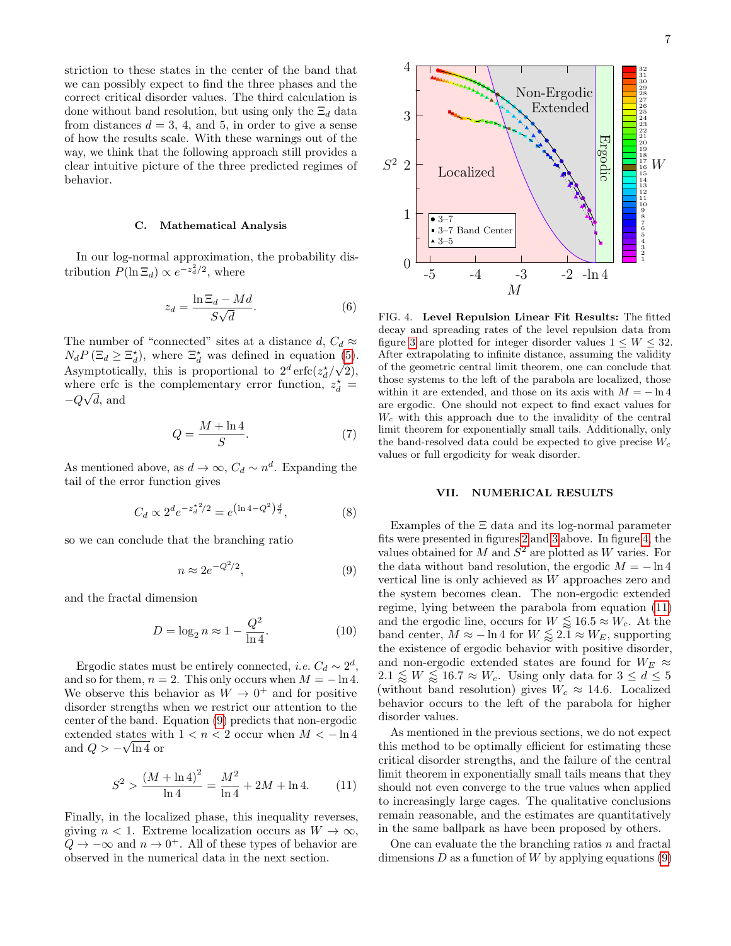striction to these states in the center of the band that we can possibly expect to find the three phases and the correct critical disorder values. The third calculation is done without band resolution, but using only the  $\Xi_d$  data from distances  $d = 3, 4,$  and 5, in order to give a sense of how the results scale. With these warnings out of the way, we think that the following approach still provides a clear intuitive picture of the three predicted regimes of behavior.

#### C. Mathematical Analysis

In our log-normal approximation, the probability distribution  $P(\ln \Xi_d) \propto e^{-z_d^2/2}$ , where

$$
z_d = \frac{\ln \Xi_d - Md}{S\sqrt{d}}.\tag{6}
$$

The number of "connected" sites at a distance  $d, C_d \approx$  $N_d P(\Xi_d \geq \Xi_d^*)$ , where  $\Xi_d^*$  was defined in equation [\(5\)](#page-5-1). Asymptotically, this is proportional to  $2^d \operatorname{erfc}(z_d^*/\sqrt{2})$ , where erfc is the complementary error function,  $z_d^* =$  $-Q\sqrt{d}$ , and

$$
Q = \frac{M + \ln 4}{S}.\tag{7}
$$

As mentioned above, as  $d \to \infty$ ,  $C_d \sim n^d$ . Expanding the tail of the error function gives

$$
C_d \propto 2^d e^{-z_d^{\star 2}/2} = e^{\left(\ln 4 - Q^2\right)\frac{d}{2}},\tag{8}
$$

so we can conclude that the branching ratio

<span id="page-6-2"></span>
$$
n \approx 2e^{-Q^2/2},\tag{9}
$$

and the fractal dimension

<span id="page-6-4"></span>
$$
D = \log_2 n \approx 1 - \frac{Q^2}{\ln 4}.\tag{10}
$$

Ergodic states must be entirely connected, *i.e.*  $C_d \sim 2^d$ , and so for them,  $n = 2$ . This only occurs when  $M = -\ln 4$ . We observe this behavior as  $W \to 0^+$  and for positive disorder strengths when we restrict our attention to the center of the band. Equation [\(9\)](#page-6-2) predicts that non-ergodic extended states with  $1 < n < 2$  occur when  $M < -\ln 4$ and  $Q > -\sqrt{\ln 4}$  or

<span id="page-6-3"></span>
$$
S^{2} > \frac{(M + \ln 4)^{2}}{\ln 4} = \frac{M^{2}}{\ln 4} + 2M + \ln 4.
$$
 (11)

Finally, in the localized phase, this inequality reverses, giving  $n < 1$ . Extreme localization occurs as  $W \to \infty$ ,  $Q \to -\infty$  and  $n \to 0^+$ . All of these types of behavior are observed in the numerical data in the next section.

<span id="page-6-1"></span>

## <span id="page-6-0"></span>VII. NUMERICAL RESULTS

Examples of the Ξ data and its log-normal parameter fits were presented in figures [2](#page-5-2) and [3](#page-5-0) above. In figure [4,](#page-6-1) the values obtained for M and  $S^2$  are plotted as W varies. For the data without band resolution, the ergodic  $M = -\ln 4$ vertical line is only achieved as W approaches zero and the system becomes clean. The non-ergodic extended regime, lying between the parabola from equation [\(11\)](#page-6-3) and the ergodic line, occurs for  $W \lessapprox 16.5 \approx W_c$ . At the band center,  $M \approx -\ln 4$  for  $W \lessapprox 2.1 \approx W_E$ , supporting the existence of ergodic behavior with positive disorder, and non-ergodic extended states are found for  $W_E \approx$  $2.1 \lessapprox W \lessapprox 16.7 \approx W_c$ . Using only data for  $3 \leq d \leq 5$ (without band resolution) gives  $W_c \approx 14.6$ . Localized behavior occurs to the left of the parabola for higher disorder values.

As mentioned in the previous sections, we do not expect this method to be optimally efficient for estimating these critical disorder strengths, and the failure of the central limit theorem in exponentially small tails means that they should not even converge to the true values when applied to increasingly large cages. The qualitative conclusions remain reasonable, and the estimates are quantitatively in the same ballpark as have been proposed by others.

One can evaluate the the branching ratios  $n$  and fractal dimensions  $D$  as a function of  $W$  by applying equations [\(9\)](#page-6-2)

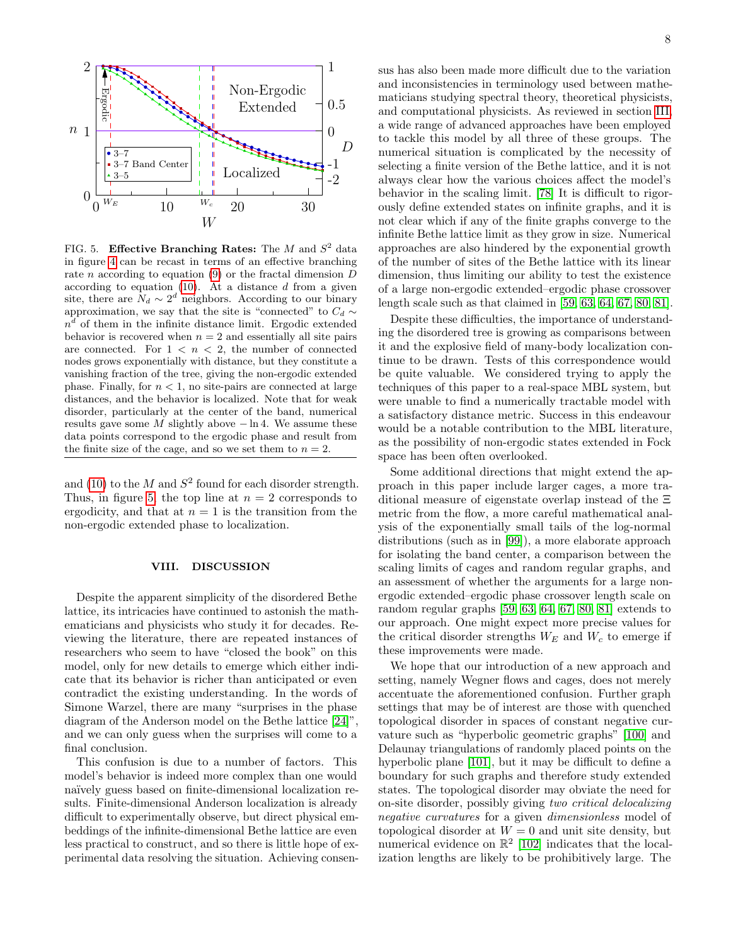

<span id="page-7-1"></span>FIG. 5. Effective Branching Rates: The M and  $S^2$  data in figure [4](#page-6-1) can be recast in terms of an effective branching rate *n* according to equation [\(9\)](#page-6-2) or the fractal dimension  $D$ according to equation  $(10)$ . At a distance d from a given site, there are  $N_d \sim 2^d$  neighbors. According to our binary approximation, we say that the site is "connected" to  $C_d \sim$  $n<sup>d</sup>$  of them in the infinite distance limit. Ergodic extended behavior is recovered when  $n = 2$  and essentially all site pairs are connected. For  $1 < n < 2$ , the number of connected nodes grows exponentially with distance, but they constitute a vanishing fraction of the tree, giving the non-ergodic extended phase. Finally, for  $n < 1$ , no site-pairs are connected at large distances, and the behavior is localized. Note that for weak disorder, particularly at the center of the band, numerical results gave some M slightly above  $-\ln 4$ . We assume these data points correspond to the ergodic phase and result from the finite size of the cage, and so we set them to  $n = 2$ .

and [\(10\)](#page-6-4) to the  $M$  and  $S^2$  found for each disorder strength. Thus, in figure [5,](#page-7-1) the top line at  $n = 2$  corresponds to ergodicity, and that at  $n = 1$  is the transition from the non-ergodic extended phase to localization.

#### <span id="page-7-0"></span>VIII. DISCUSSION

Despite the apparent simplicity of the disordered Bethe lattice, its intricacies have continued to astonish the mathematicians and physicists who study it for decades. Reviewing the literature, there are repeated instances of researchers who seem to have "closed the book" on this model, only for new details to emerge which either indicate that its behavior is richer than anticipated or even contradict the existing understanding. In the words of Simone Warzel, there are many "surprises in the phase diagram of the Anderson model on the Bethe lattice [\[24\]](#page-8-31)", and we can only guess when the surprises will come to a final conclusion.

This confusion is due to a number of factors. This model's behavior is indeed more complex than one would naïvely guess based on finite-dimensional localization results. Finite-dimensional Anderson localization is already difficult to experimentally observe, but direct physical embeddings of the infinite-dimensional Bethe lattice are even less practical to construct, and so there is little hope of experimental data resolving the situation. Achieving consensus has also been made more difficult due to the variation and inconsistencies in terminology used between mathematicians studying spectral theory, theoretical physicists, and computational physicists. As reviewed in section [III,](#page-2-0) a wide range of advanced approaches have been employed to tackle this model by all three of these groups. The numerical situation is complicated by the necessity of selecting a finite version of the Bethe lattice, and it is not always clear how the various choices affect the model's behavior in the scaling limit. [\[78\]](#page-9-30) It is difficult to rigorously define extended states on infinite graphs, and it is not clear which if any of the finite graphs converge to the infinite Bethe lattice limit as they grow in size. Numerical approaches are also hindered by the exponential growth of the number of sites of the Bethe lattice with its linear dimension, thus limiting our ability to test the existence of a large non-ergodic extended–ergodic phase crossover length scale such as that claimed in [\[59,](#page-9-12) [63,](#page-9-16) [64,](#page-9-17) [67,](#page-9-21) [80,](#page-9-32) [81\]](#page-9-33).

Despite these difficulties, the importance of understanding the disordered tree is growing as comparisons between it and the explosive field of many-body localization continue to be drawn. Tests of this correspondence would be quite valuable. We considered trying to apply the techniques of this paper to a real-space MBL system, but were unable to find a numerically tractable model with a satisfactory distance metric. Success in this endeavour would be a notable contribution to the MBL literature, as the possibility of non-ergodic states extended in Fock space has been often overlooked.

Some additional directions that might extend the approach in this paper include larger cages, a more traditional measure of eigenstate overlap instead of the Ξ metric from the flow, a more careful mathematical analysis of the exponentially small tails of the log-normal distributions (such as in [\[99\]](#page-9-50)), a more elaborate approach for isolating the band center, a comparison between the scaling limits of cages and random regular graphs, and an assessment of whether the arguments for a large nonergodic extended–ergodic phase crossover length scale on random regular graphs [\[59,](#page-9-12) [63,](#page-9-16) [64,](#page-9-17) [67,](#page-9-21) [80,](#page-9-32) [81\]](#page-9-33) extends to our approach. One might expect more precise values for the critical disorder strengths  $W_E$  and  $W_c$  to emerge if these improvements were made.

We hope that our introduction of a new approach and setting, namely Wegner flows and cages, does not merely accentuate the aforementioned confusion. Further graph settings that may be of interest are those with quenched topological disorder in spaces of constant negative curvature such as "hyperbolic geometric graphs" [\[100\]](#page-9-51) and Delaunay triangulations of randomly placed points on the hyperbolic plane [\[101\]](#page-9-52), but it may be difficult to define a boundary for such graphs and therefore study extended states. The topological disorder may obviate the need for on-site disorder, possibly giving two critical delocalizing negative curvatures for a given dimensionless model of topological disorder at  $W = 0$  and unit site density, but numerical evidence on  $\mathbb{R}^2$  [\[102\]](#page-9-53) indicates that the localization lengths are likely to be prohibitively large. The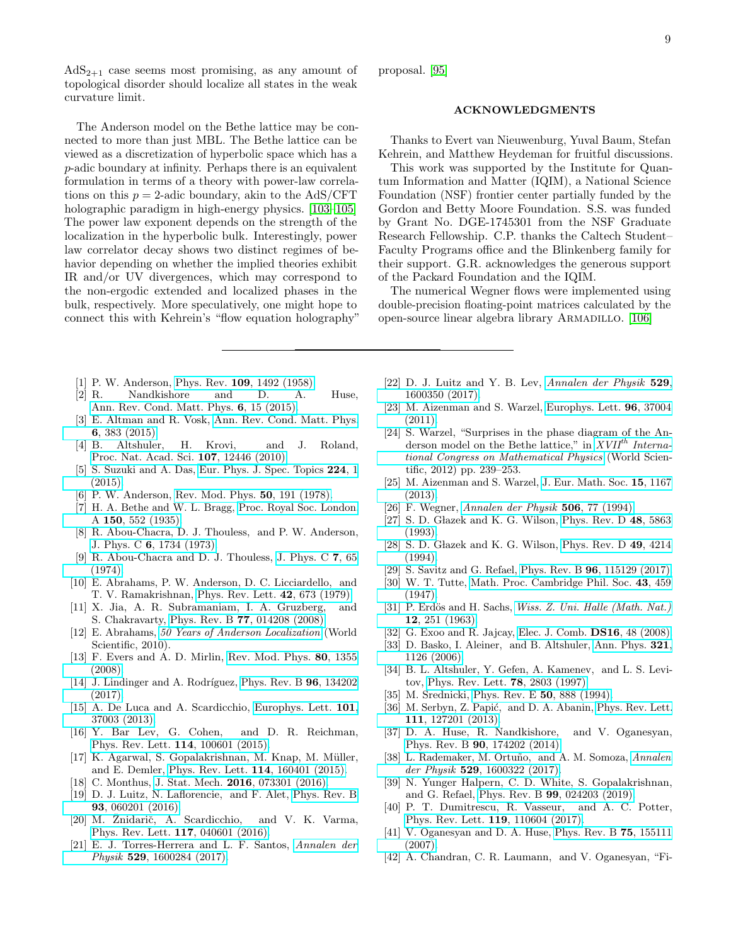$AdS_{2+1}$  case seems most promising, as any amount of topological disorder should localize all states in the weak curvature limit.

The Anderson model on the Bethe lattice may be connected to more than just MBL. The Bethe lattice can be viewed as a discretization of hyperbolic space which has a p-adic boundary at infinity. Perhaps there is an equivalent formulation in terms of a theory with power-law correlations on this  $p = 2$ -adic boundary, akin to the AdS/CFT holographic paradigm in high-energy physics. [\[103](#page-9-54)[–105\]](#page-9-55) The power law exponent depends on the strength of the localization in the hyperbolic bulk. Interestingly, power law correlator decay shows two distinct regimes of behavior depending on whether the implied theories exhibit IR and/or UV divergences, which may correspond to the non-ergodic extended and localized phases in the bulk, respectively. More speculatively, one might hope to connect this with Kehrein's "flow equation holography"

- <span id="page-8-0"></span>[1] P. W. Anderson, Phys. Rev. 109[, 1492 \(1958\).](http://dx.doi.org/10.1103/PhysRev.109.1492)
- <span id="page-8-1"></span>Nandkishore and D. A. Huse, [Ann. Rev. Cond. Matt. Phys.](http://dx.doi.org/10.1146/annurev-conmatphys-031214-014726) 6, 15 (2015).
- <span id="page-8-2"></span>[3] E. Altman and R. Vosk, [Ann. Rev. Cond. Matt. Phys.](http://dx.doi.org/10.1146/annurev-conmatphys-031214-014701) 6[, 383 \(2015\).](http://dx.doi.org/10.1146/annurev-conmatphys-031214-014701)
- <span id="page-8-3"></span>[4] B. Altshuler, H. Krovi, and J. Roland, [Proc. Nat. Acad. Sci.](http://dx.doi.org/10.1073/pnas.1002116107) 107, 12446 (2010).
- <span id="page-8-4"></span>[5] S. Suzuki and A. Das, [Eur. Phys. J. Spec. Topics](http://dx.doi.org/10.1140/epjst/e2015-02336-2) 224, 1 [\(2015\).](http://dx.doi.org/10.1140/epjst/e2015-02336-2)
- <span id="page-8-5"></span>[6] P. W. Anderson, [Rev. Mod. Phys.](http://dx.doi.org/10.1103/RevModPhys.50.191) 50, 191 (1978).
- <span id="page-8-6"></span>[7] H. A. Bethe and W. L. Bragg, [Proc. Royal Soc. London.](http://dx.doi.org/10.1098/rspa.1935.0122) A 150[, 552 \(1935\).](http://dx.doi.org/10.1098/rspa.1935.0122)
- <span id="page-8-7"></span>[8] R. Abou-Chacra, D. J. Thouless, and P. W. Anderson, J. Phys. C 6[, 1734 \(1973\).](http://dx.doi.org/10.1088/0022-3719/6/10/009)
- <span id="page-8-8"></span>[9] R. Abou-Chacra and D. J. Thouless, [J. Phys. C](http://dx.doi.org/10.1088/0022-3719/7/1/015) 7, 65 [\(1974\).](http://dx.doi.org/10.1088/0022-3719/7/1/015)
- <span id="page-8-9"></span>[10] E. Abrahams, P. W. Anderson, D. C. Licciardello, and T. V. Ramakrishnan, [Phys. Rev. Lett.](http://dx.doi.org/10.1103/PhysRevLett.42.673) 42, 673 (1979).
- [11] X. Jia, A. R. Subramaniam, I. A. Gruzberg, and S. Chakravarty, Phys. Rev. B 77[, 014208 \(2008\).](http://dx.doi.org/10.1103/PhysRevB.77.014208)
- [12] E. Abrahams, [50 Years of Anderson Localization](http://dx.doi.org/10.1142/7663) (World Scientific, 2010).
- [13] F. Evers and A. D. Mirlin, [Rev. Mod. Phys.](http://dx.doi.org/10.1103/RevModPhys.80.1355) 80, 1355 [\(2008\).](http://dx.doi.org/10.1103/RevModPhys.80.1355)
- <span id="page-8-10"></span>[14] J. Lindinger and A. Rodríguez, [Phys. Rev. B](http://dx.doi.org/10.1103/PhysRevB.96.134202)  $96$ , 134202 [\(2017\).](http://dx.doi.org/10.1103/PhysRevB.96.134202)
- <span id="page-8-11"></span>[15] A. De Luca and A. Scardicchio, [Europhys. Lett.](http://dx.doi.org/10.1209/0295-5075/101/37003) 101, [37003 \(2013\).](http://dx.doi.org/10.1209/0295-5075/101/37003)
- [16] Y. Bar Lev, G. Cohen, and D. R. Reichman, [Phys. Rev. Lett.](http://dx.doi.org/10.1103/PhysRevLett.114.100601) 114, 100601 (2015).
- <span id="page-8-28"></span>[17] K. Agarwal, S. Gopalakrishnan, M. Knap, M. Müller, and E. Demler, [Phys. Rev. Lett.](http://dx.doi.org/10.1103/PhysRevLett.114.160401) 114, 160401 (2015).
- [18] C. Monthus, J. Stat. Mech. 2016[, 073301 \(2016\).](http://dx.doi.org/10.1088/1742-5468/2016/07/073301)
- <span id="page-8-29"></span>[19] D. J. Luitz, N. Laflorencie, and F. Alet, [Phys. Rev. B](http://dx.doi.org/10.1103/PhysRevB.93.060201) 93[, 060201 \(2016\).](http://dx.doi.org/10.1103/PhysRevB.93.060201)
- [20] M. Žnidarič, A. Scardicchio, and V. K. Varma, [Phys. Rev. Lett.](http://dx.doi.org/10.1103/PhysRevLett.117.040601) 117, 040601 (2016).
- <span id="page-8-30"></span>[21] E. J. Torres-Herrera and L. F. Santos, [Annalen der](http://dx.doi.org/10.1002/andp.201600284) Physik 529[, 1600284 \(2017\).](http://dx.doi.org/10.1002/andp.201600284)

proposal. [\[95\]](#page-9-47)

## ACKNOWLEDGMENTS

Thanks to Evert van Nieuwenburg, Yuval Baum, Stefan Kehrein, and Matthew Heydeman for fruitful discussions.

This work was supported by the Institute for Quantum Information and Matter (IQIM), a National Science Foundation (NSF) frontier center partially funded by the Gordon and Betty Moore Foundation. S.S. was funded by Grant No. DGE-1745301 from the NSF Graduate Research Fellowship. C.P. thanks the Caltech Student– Faculty Programs office and the Blinkenberg family for their support. G.R. acknowledges the generous support of the Packard Foundation and the IQIM.

The numerical Wegner flows were implemented using double-precision floating-point matrices calculated by the open-source linear algebra library Armadillo. [\[106\]](#page-9-56)

- <span id="page-8-12"></span>[22] D. J. Luitz and Y. B. Lev, [Annalen der Physik](http://dx.doi.org/10.1002/andp.201600350) 529, [1600350 \(2017\).](http://dx.doi.org/10.1002/andp.201600350)
- <span id="page-8-15"></span>[23] M. Aizenman and S. Warzel, [Europhys. Lett.](http://dx.doi.org/10.1209/0295-5075/96/37004) 96, 37004 [\(2011\).](http://dx.doi.org/10.1209/0295-5075/96/37004)
- <span id="page-8-31"></span>[24] S. Warzel, "Surprises in the phase diagram of the Anderson model on the Bethe lattice," in  $XVII^{th}$  [Interna](http://dx.doi.org/ 10.1142/9789814449243_0014)[tional Congress on Mathematical Physics](http://dx.doi.org/ 10.1142/9789814449243_0014) (World Scientific, 2012) pp. 239–253.
- <span id="page-8-16"></span>[25] M. Aizenman and S. Warzel, [J. Eur. Math. Soc.](http://dx.doi.org/10.4171/jems/389) 15, 1167 [\(2013\).](http://dx.doi.org/10.4171/jems/389)
- <span id="page-8-13"></span>[26] F. Wegner, [Annalen der Physik](http://dx.doi.org/10.1002/andp.19945060203) 506, 77 (1994).
- [27] S. D. Głazek and K. G. Wilson, [Phys. Rev. D](http://dx.doi.org/10.1103/PhysRevD.48.5863)  $48$ , 5863 [\(1993\).](http://dx.doi.org/10.1103/PhysRevD.48.5863)
- [28] S. D. Głazek and K. G. Wilson, [Phys. Rev. D](http://dx.doi.org/10.1103/PhysRevD.49.4214) 49, 4214 [\(1994\).](http://dx.doi.org/10.1103/PhysRevD.49.4214)
- <span id="page-8-14"></span>[29] S. Savitz and G. Refael, Phys. Rev. B 96[, 115129 \(2017\).](http://dx.doi.org/10.1103/PhysRevB.96.115129)
- <span id="page-8-17"></span>[30] W. T. Tutte, [Math. Proc. Cambridge Phil. Soc.](http://dx.doi.org/10.1017/S0305004100023720) 43, 459 [\(1947\).](http://dx.doi.org/10.1017/S0305004100023720)
- <span id="page-8-18"></span>[31] P. Erdös and H. Sachs, *[Wiss. Z. Uni. Halle \(Math. Nat.\)](https://users.renyi.hu/~p_erdos/1963-16.pdf)* 12[, 251 \(1963\).](https://users.renyi.hu/~p_erdos/1963-16.pdf)
- <span id="page-8-19"></span>[32] G. Exoo and R. Jajcay, [Elec. J. Comb.](http://eudml.org/doc/130471) **DS16**, 48 (2008).
- <span id="page-8-20"></span>[33] D. Basko, I. Aleiner, and B. Altshuler, [Ann. Phys.](http://dx.doi.org/10.1016/j.aop.2005.11.014) **321**, [1126 \(2006\).](http://dx.doi.org/10.1016/j.aop.2005.11.014)
- <span id="page-8-21"></span>[34] B. L. Altshuler, Y. Gefen, A. Kamenev, and L. S. Levitov, [Phys. Rev. Lett.](http://dx.doi.org/10.1103/PhysRevLett.78.2803) 78, 2803 (1997).
- <span id="page-8-22"></span>[35] M. Srednicki, [Phys. Rev. E](http://dx.doi.org/10.1103/PhysRevE.50.888) 50, 888 (1994).
- [36] M. Serbyn, Z. Papić, and D. A. Abanin, [Phys. Rev. Lett.](http://dx.doi.org/ 10.1103/PhysRevLett.111.127201) 111[, 127201 \(2013\).](http://dx.doi.org/ 10.1103/PhysRevLett.111.127201)
- [37] D. A. Huse, R. Nandkishore, and V. Oganesyan, Phys. Rev. B 90[, 174202 \(2014\).](http://dx.doi.org/10.1103/PhysRevB.90.174202)
- <span id="page-8-23"></span>[38] L. Rademaker, M. Ortuño, and A. M. Somoza, [Annalen](http://dx.doi.org/10.1002/andp.201600322) der Physik 529[, 1600322 \(2017\).](http://dx.doi.org/10.1002/andp.201600322)
- <span id="page-8-24"></span>[39] N. Yunger Halpern, C. D. White, S. Gopalakrishnan, and G. Refael, Phys. Rev. B 99[, 024203 \(2019\).](http://dx.doi.org/10.1103/PhysRevB.99.024203)
- <span id="page-8-25"></span>[40] P. T. Dumitrescu, R. Vasseur, and A. C. Potter, [Phys. Rev. Lett.](http://dx.doi.org/10.1103/PhysRevLett.119.110604) 119, 110604 (2017).
- <span id="page-8-26"></span>[41] V. Oganesyan and D. A. Huse, [Phys. Rev. B](http://dx.doi.org/10.1103/PhysRevB.75.155111) 75, 155111 [\(2007\).](http://dx.doi.org/10.1103/PhysRevB.75.155111)
- <span id="page-8-27"></span>[42] A. Chandran, C. R. Laumann, and V. Oganesyan, "Fi-